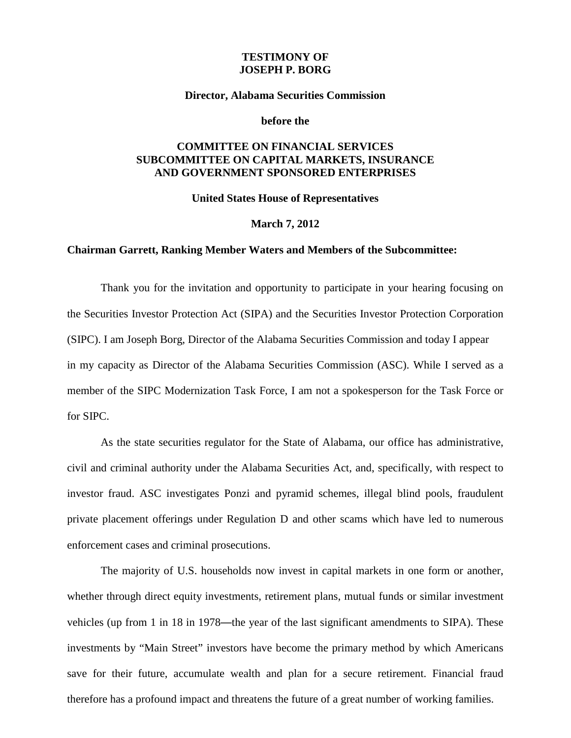### **TESTIMONY OF JOSEPH P. BORG**

#### **Director, Alabama Securities Commission**

#### **before the**

# **COMMITTEE ON FINANCIAL SERVICES SUBCOMMITTEE ON CAPITAL MARKETS, INSURANCE AND GOVERNMENT SPONSORED ENTERPRISES**

**United States House of Representatives** 

#### **March 7, 2012**

#### **Chairman Garrett, Ranking Member Waters and Members of the Subcommittee:**

Thank you for the invitation and opportunity to participate in your hearing focusing on the Securities Investor Protection Act (SIPA) and the Securities Investor Protection Corporation (SIPC). I am Joseph Borg, Director of the Alabama Securities Commission and today I appear in my capacity as Director of the Alabama Securities Commission (ASC). While I served as a member of the SIPC Modernization Task Force, I am not a spokesperson for the Task Force or for SIPC.

As the state securities regulator for the State of Alabama, our office has administrative, civil and criminal authority under the Alabama Securities Act, and, specifically, with respect to investor fraud. ASC investigates Ponzi and pyramid schemes, illegal blind pools, fraudulent private placement offerings under Regulation D and other scams which have led to numerous enforcement cases and criminal prosecutions.

The majority of U.S. households now invest in capital markets in one form or another, whether through direct equity investments, retirement plans, mutual funds or similar investment vehicles (up from 1 in 18 in 1978—the year of the last significant amendments to SIPA). These investments by "Main Street" investors have become the primary method by which Americans save for their future, accumulate wealth and plan for a secure retirement. Financial fraud therefore has a profound impact and threatens the future of a great number of working families.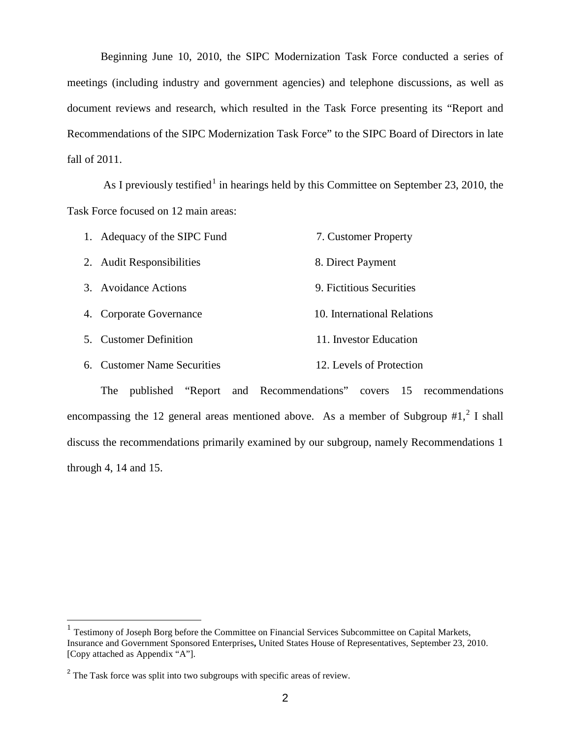Beginning June 10, 2010, the SIPC Modernization Task Force conducted a series of meetings (including industry and government agencies) and telephone discussions, as well as document reviews and research, which resulted in the Task Force presenting its "Report and Recommendations of the SIPC Modernization Task Force" to the SIPC Board of Directors in late fall of 2011.

As I previously testified<sup>[1](#page-1-0)</sup> in hearings held by this Committee on September 23, 2010, the Task Force focused on 12 main areas:

| 1. Adequacy of the SIPC Fund | 7. Customer Property        |
|------------------------------|-----------------------------|
| 2. Audit Responsibilities    | 8. Direct Payment           |
| 3. Avoidance Actions         | 9. Fictitious Securities    |
| 4. Corporate Governance      | 10. International Relations |
| 5. Customer Definition       | 11. Investor Education      |
| 6. Customer Name Securities  | 12. Levels of Protection    |

The published "Report and Recommendations" covers 15 recommendations encompassing the 1[2](#page-1-1) general areas mentioned above. As a member of Subgroup  $#1, ^2$  I shall discuss the recommendations primarily examined by our subgroup, namely Recommendations 1 through 4, 14 and 15.

<span id="page-1-0"></span><sup>&</sup>lt;sup>1</sup> Testimony of Joseph Borg before the Committee on Financial Services Subcommittee on Capital Markets, Insurance and Government Sponsored Enterprises**,** United States House of Representatives, September 23, 2010. [Copy attached as Appendix "A"].

<span id="page-1-1"></span><sup>&</sup>lt;sup>2</sup> The Task force was split into two subgroups with specific areas of review.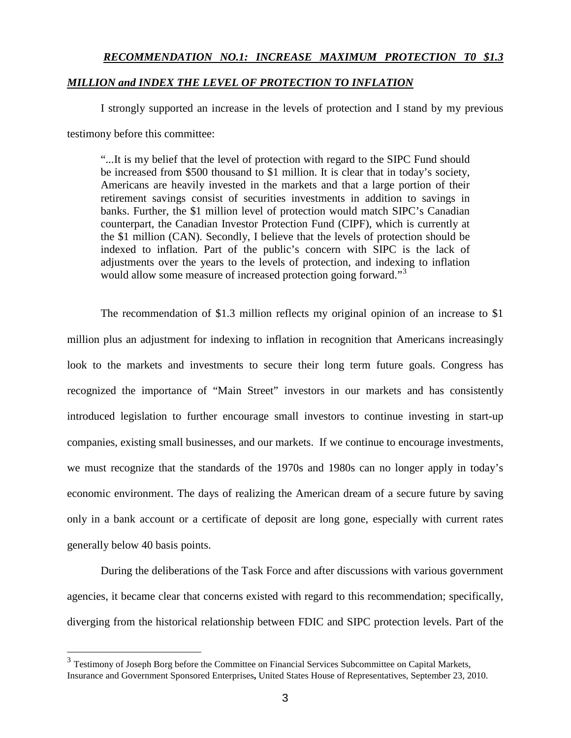# *RECOMMENDATION NO.1: INCREASE MAXIMUM PROTECTION T0 \$1.3*

#### *MILLION and INDEX THE LEVEL OF PROTECTION TO INFLATION*

I strongly supported an increase in the levels of protection and I stand by my previous testimony before this committee:

"...It is my belief that the level of protection with regard to the SIPC Fund should be increased from \$500 thousand to \$1 million. It is clear that in today's society, Americans are heavily invested in the markets and that a large portion of their retirement savings consist of securities investments in addition to savings in banks. Further, the \$1 million level of protection would match SIPC's Canadian counterpart, the Canadian Investor Protection Fund (CIPF), which is currently at the \$1 million (CAN). Secondly, I believe that the levels of protection should be indexed to inflation. Part of the public's concern with SIPC is the lack of adjustments over the years to the levels of protection, and indexing to inflation would allow some measure of increased protection going forward."<sup>[3](#page-2-0)</sup>

The recommendation of \$1.3 million reflects my original opinion of an increase to \$1 million plus an adjustment for indexing to inflation in recognition that Americans increasingly look to the markets and investments to secure their long term future goals. Congress has recognized the importance of "Main Street" investors in our markets and has consistently introduced legislation to further encourage small investors to continue investing in start-up companies, existing small businesses, and our markets. If we continue to encourage investments, we must recognize that the standards of the 1970s and 1980s can no longer apply in today's economic environment. The days of realizing the American dream of a secure future by saving only in a bank account or a certificate of deposit are long gone, especially with current rates generally below 40 basis points.

During the deliberations of the Task Force and after discussions with various government agencies, it became clear that concerns existed with regard to this recommendation; specifically, diverging from the historical relationship between FDIC and SIPC protection levels. Part of the

<span id="page-2-0"></span><sup>3</sup> Testimony of Joseph Borg before the Committee on Financial Services Subcommittee on Capital Markets, Insurance and Government Sponsored Enterprises**,** United States House of Representatives, September 23, 2010.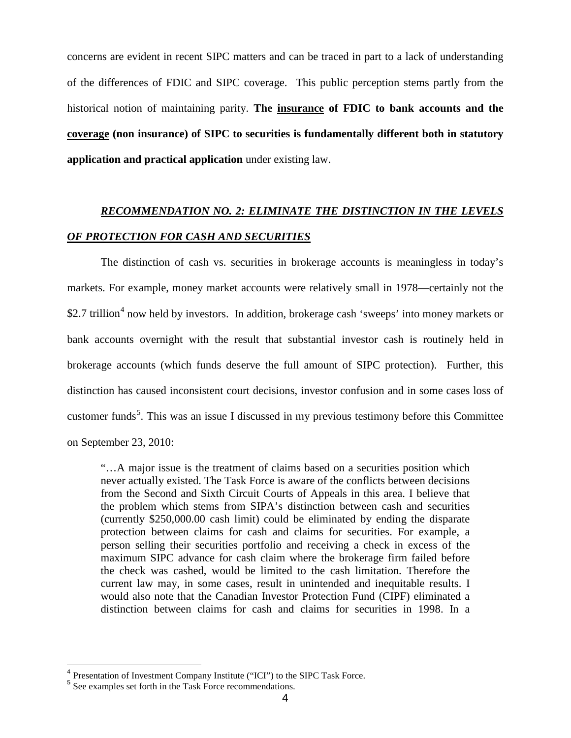concerns are evident in recent SIPC matters and can be traced in part to a lack of understanding of the differences of FDIC and SIPC coverage. This public perception stems partly from the historical notion of maintaining parity. **The insurance of FDIC to bank accounts and the coverage (non insurance) of SIPC to securities is fundamentally different both in statutory application and practical application** under existing law.

# *RECOMMENDATION NO. 2: ELIMINATE THE DISTINCTION IN THE LEVELS OF PROTECTION FOR CASH AND SECURITIES*

The distinction of cash vs. securities in brokerage accounts is meaningless in today's markets. For example, money market accounts were relatively small in 1978—certainly not the \$2.7 trillion<sup>[4](#page-3-0)</sup> now held by investors. In addition, brokerage cash 'sweeps' into money markets or bank accounts overnight with the result that substantial investor cash is routinely held in brokerage accounts (which funds deserve the full amount of SIPC protection). Further, this distinction has caused inconsistent court decisions, investor confusion and in some cases loss of customer funds<sup>[5](#page-3-1)</sup>. This was an issue I discussed in my previous testimony before this Committee on September 23, 2010:

"…A major issue is the treatment of claims based on a securities position which never actually existed. The Task Force is aware of the conflicts between decisions from the Second and Sixth Circuit Courts of Appeals in this area. I believe that the problem which stems from SIPA's distinction between cash and securities (currently \$250,000.00 cash limit) could be eliminated by ending the disparate protection between claims for cash and claims for securities. For example, a person selling their securities portfolio and receiving a check in excess of the maximum SIPC advance for cash claim where the brokerage firm failed before the check was cashed, would be limited to the cash limitation. Therefore the current law may, in some cases, result in unintended and inequitable results. I would also note that the Canadian Investor Protection Fund (CIPF) eliminated a distinction between claims for cash and claims for securities in 1998. In a

<span id="page-3-0"></span> <sup>4</sup> Presentation of Investment Company Institute ("ICI") to the SIPC Task Force.

<span id="page-3-1"></span><sup>5</sup> See examples set forth in the Task Force recommendations.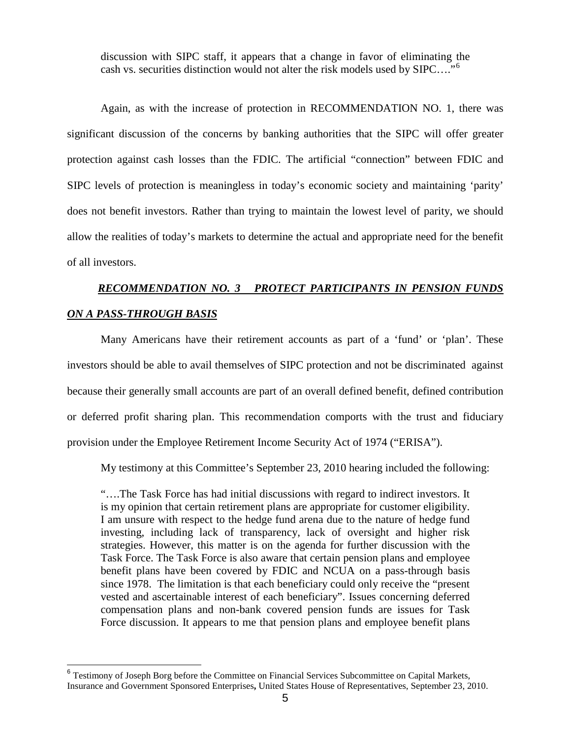discussion with SIPC staff, it appears that a change in favor of eliminating the cash vs. securities distinction would not alter the risk models used by SIPC…."[6](#page-4-0)

Again, as with the increase of protection in RECOMMENDATION NO. 1, there was significant discussion of the concerns by banking authorities that the SIPC will offer greater protection against cash losses than the FDIC. The artificial "connection" between FDIC and SIPC levels of protection is meaningless in today's economic society and maintaining 'parity' does not benefit investors. Rather than trying to maintain the lowest level of parity, we should allow the realities of today's markets to determine the actual and appropriate need for the benefit of all investors.

# *RECOMMENDATION NO. 3 PROTECT PARTICIPANTS IN PENSION FUNDS ON A PASS-THROUGH BASIS*

Many Americans have their retirement accounts as part of a 'fund' or 'plan'. These investors should be able to avail themselves of SIPC protection and not be discriminated against because their generally small accounts are part of an overall defined benefit, defined contribution or deferred profit sharing plan. This recommendation comports with the trust and fiduciary provision under the Employee Retirement Income Security Act of 1974 ("ERISA").

My testimony at this Committee's September 23, 2010 hearing included the following:

"….The Task Force has had initial discussions with regard to indirect investors. It is my opinion that certain retirement plans are appropriate for customer eligibility. I am unsure with respect to the hedge fund arena due to the nature of hedge fund investing, including lack of transparency, lack of oversight and higher risk strategies. However, this matter is on the agenda for further discussion with the Task Force. The Task Force is also aware that certain pension plans and employee benefit plans have been covered by FDIC and NCUA on a pass-through basis since 1978. The limitation is that each beneficiary could only receive the "present vested and ascertainable interest of each beneficiary". Issues concerning deferred compensation plans and non-bank covered pension funds are issues for Task Force discussion. It appears to me that pension plans and employee benefit plans

<span id="page-4-0"></span><sup>&</sup>lt;sup>6</sup> Testimony of Joseph Borg before the Committee on Financial Services Subcommittee on Capital Markets, Insurance and Government Sponsored Enterprises**,** United States House of Representatives, September 23, 2010.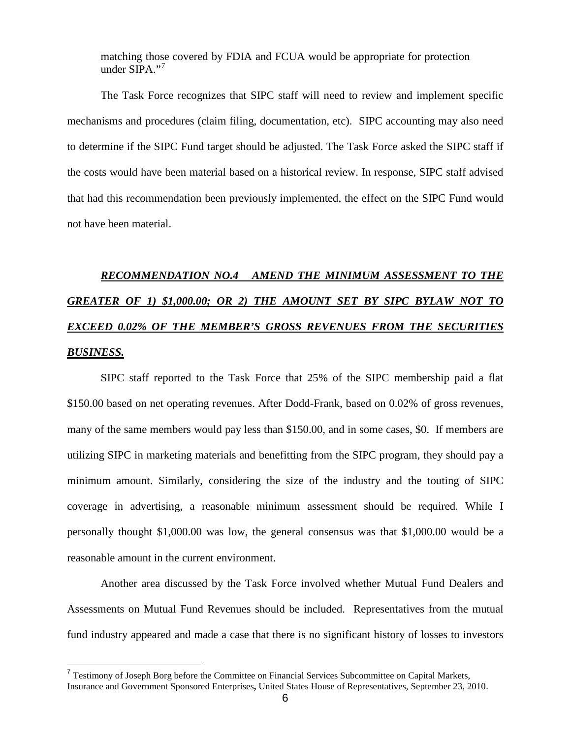matching those covered by FDIA and FCUA would be appropriate for protection under  $SIPA.$ <sup>[7](#page-5-0)7</sup>

The Task Force recognizes that SIPC staff will need to review and implement specific mechanisms and procedures (claim filing, documentation, etc). SIPC accounting may also need to determine if the SIPC Fund target should be adjusted. The Task Force asked the SIPC staff if the costs would have been material based on a historical review. In response, SIPC staff advised that had this recommendation been previously implemented, the effect on the SIPC Fund would not have been material.

# *RECOMMENDATION NO.4 AMEND THE MINIMUM ASSESSMENT TO THE GREATER OF 1) \$1,000.00; OR 2) THE AMOUNT SET BY SIPC BYLAW NOT TO EXCEED 0.02% OF THE MEMBER'S GROSS REVENUES FROM THE SECURITIES BUSINESS.*

SIPC staff reported to the Task Force that 25% of the SIPC membership paid a flat \$150.00 based on net operating revenues. After Dodd-Frank, based on 0.02% of gross revenues, many of the same members would pay less than \$150.00, and in some cases, \$0. If members are utilizing SIPC in marketing materials and benefitting from the SIPC program, they should pay a minimum amount. Similarly, considering the size of the industry and the touting of SIPC coverage in advertising, a reasonable minimum assessment should be required. While I personally thought \$1,000.00 was low, the general consensus was that \$1,000.00 would be a reasonable amount in the current environment.

Another area discussed by the Task Force involved whether Mutual Fund Dealers and Assessments on Mutual Fund Revenues should be included. Representatives from the mutual fund industry appeared and made a case that there is no significant history of losses to investors

<span id="page-5-0"></span> <sup>7</sup> Testimony of Joseph Borg before the Committee on Financial Services Subcommittee on Capital Markets, Insurance and Government Sponsored Enterprises**,** United States House of Representatives, September 23, 2010.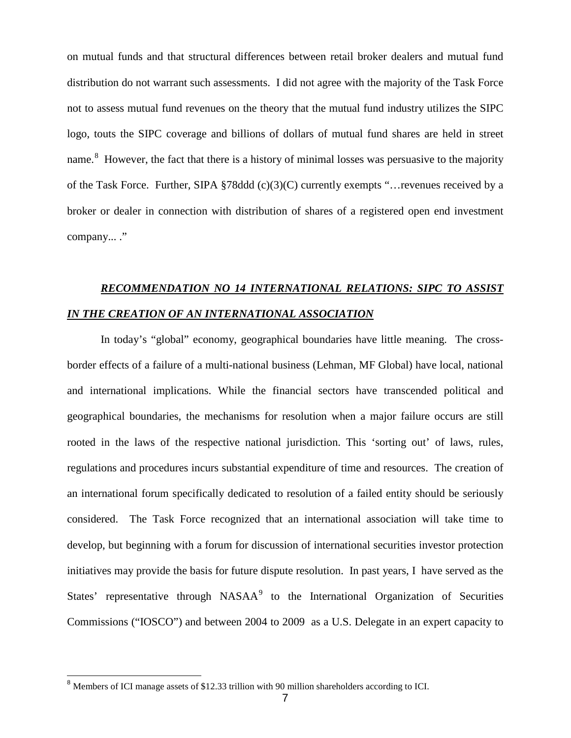on mutual funds and that structural differences between retail broker dealers and mutual fund distribution do not warrant such assessments. I did not agree with the majority of the Task Force not to assess mutual fund revenues on the theory that the mutual fund industry utilizes the SIPC logo, touts the SIPC coverage and billions of dollars of mutual fund shares are held in street name.<sup>[8](#page-6-0)</sup> However, the fact that there is a history of minimal losses was persuasive to the majority of the Task Force. Further, SIPA §78ddd (c)(3)(C) currently exempts "…revenues received by a broker or dealer in connection with distribution of shares of a registered open end investment company... ."

# *RECOMMENDATION NO 14 INTERNATIONAL RELATIONS: SIPC TO ASSIST IN THE CREATION OF AN INTERNATIONAL ASSOCIATION*

In today's "global" economy, geographical boundaries have little meaning. The crossborder effects of a failure of a multi-national business (Lehman, MF Global) have local, national and international implications. While the financial sectors have transcended political and geographical boundaries, the mechanisms for resolution when a major failure occurs are still rooted in the laws of the respective national jurisdiction. This 'sorting out' of laws, rules, regulations and procedures incurs substantial expenditure of time and resources. The creation of an international forum specifically dedicated to resolution of a failed entity should be seriously considered. The Task Force recognized that an international association will take time to develop, but beginning with a forum for discussion of international securities investor protection initiatives may provide the basis for future dispute resolution. In past years, I have served as the States' representative through NASAA<sup>[9](#page-6-1)</sup> to the International Organization of Securities Commissions ("IOSCO") and between 2004 to 2009 as a U.S. Delegate in an expert capacity to

<span id="page-6-1"></span><span id="page-6-0"></span><sup>&</sup>lt;sup>8</sup> Members of ICI manage assets of \$12.33 trillion with 90 million shareholders according to ICI.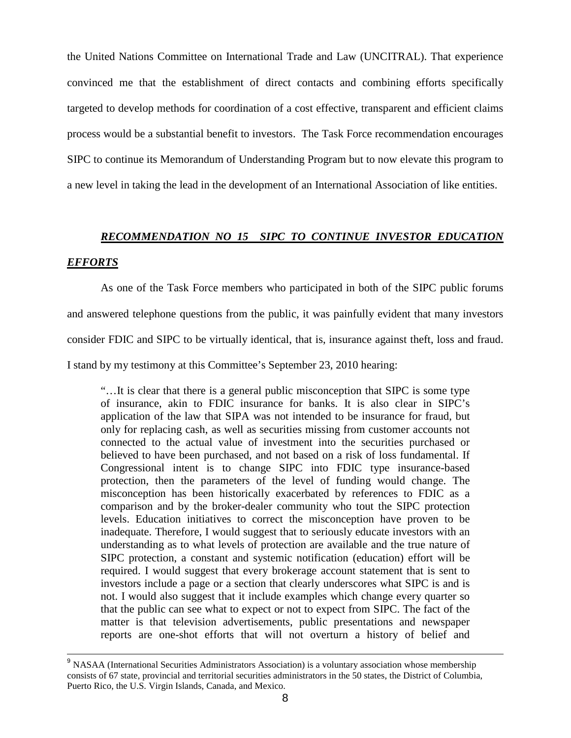the United Nations Committee on International Trade and Law (UNCITRAL). That experience convinced me that the establishment of direct contacts and combining efforts specifically targeted to develop methods for coordination of a cost effective, transparent and efficient claims process would be a substantial benefit to investors. The Task Force recommendation encourages SIPC to continue its Memorandum of Understanding Program but to now elevate this program to a new level in taking the lead in the development of an International Association of like entities.

# *RECOMMENDATION NO 15 SIPC TO CONTINUE INVESTOR EDUCATION*

# *EFFORTS*

As one of the Task Force members who participated in both of the SIPC public forums and answered telephone questions from the public, it was painfully evident that many investors consider FDIC and SIPC to be virtually identical, that is, insurance against theft, loss and fraud. I stand by my testimony at this Committee's September 23, 2010 hearing:

"…It is clear that there is a general public misconception that SIPC is some type of insurance, akin to FDIC insurance for banks. It is also clear in SIPC's application of the law that SIPA was not intended to be insurance for fraud, but only for replacing cash, as well as securities missing from customer accounts not connected to the actual value of investment into the securities purchased or believed to have been purchased, and not based on a risk of loss fundamental. If Congressional intent is to change SIPC into FDIC type insurance-based protection, then the parameters of the level of funding would change. The misconception has been historically exacerbated by references to FDIC as a comparison and by the broker-dealer community who tout the SIPC protection levels. Education initiatives to correct the misconception have proven to be inadequate. Therefore, I would suggest that to seriously educate investors with an understanding as to what levels of protection are available and the true nature of SIPC protection, a constant and systemic notification (education) effort will be required. I would suggest that every brokerage account statement that is sent to investors include a page or a section that clearly underscores what SIPC is and is not. I would also suggest that it include examples which change every quarter so that the public can see what to expect or not to expect from SIPC. The fact of the matter is that television advertisements, public presentations and newspaper reports are one-shot efforts that will not overturn a history of belief and

<sup>&</sup>lt;sup>9</sup> NASAA (International Securities Administrators Association) is a voluntary association whose membership consists of 67 state, provincial and territorial securities administrators in the 50 states, the District of Columbia, Puerto Rico, the U.S. Virgin Islands, Canada, and Mexico.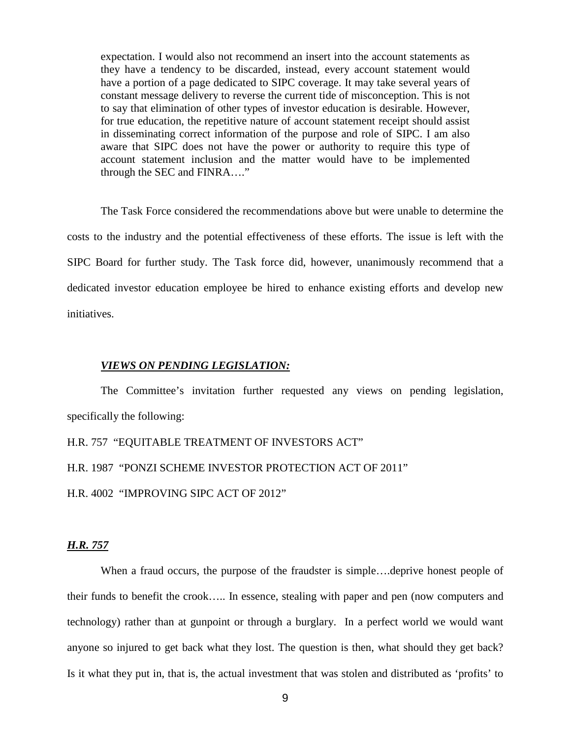expectation. I would also not recommend an insert into the account statements as they have a tendency to be discarded, instead, every account statement would have a portion of a page dedicated to SIPC coverage. It may take several years of constant message delivery to reverse the current tide of misconception. This is not to say that elimination of other types of investor education is desirable. However, for true education, the repetitive nature of account statement receipt should assist in disseminating correct information of the purpose and role of SIPC. I am also aware that SIPC does not have the power or authority to require this type of account statement inclusion and the matter would have to be implemented through the SEC and FINRA…."

The Task Force considered the recommendations above but were unable to determine the costs to the industry and the potential effectiveness of these efforts. The issue is left with the SIPC Board for further study. The Task force did, however, unanimously recommend that a dedicated investor education employee be hired to enhance existing efforts and develop new initiatives.

#### *VIEWS ON PENDING LEGISLATION:*

The Committee's invitation further requested any views on pending legislation, specifically the following:

H.R. 757 "EQUITABLE TREATMENT OF INVESTORS ACT"

H.R. 1987 "PONZI SCHEME INVESTOR PROTECTION ACT OF 2011"

H.R. 4002 "IMPROVING SIPC ACT OF 2012"

#### *H.R. 757*

When a fraud occurs, the purpose of the fraudster is simple.... deprive honest people of their funds to benefit the crook….. In essence, stealing with paper and pen (now computers and technology) rather than at gunpoint or through a burglary. In a perfect world we would want anyone so injured to get back what they lost. The question is then, what should they get back? Is it what they put in, that is, the actual investment that was stolen and distributed as 'profits' to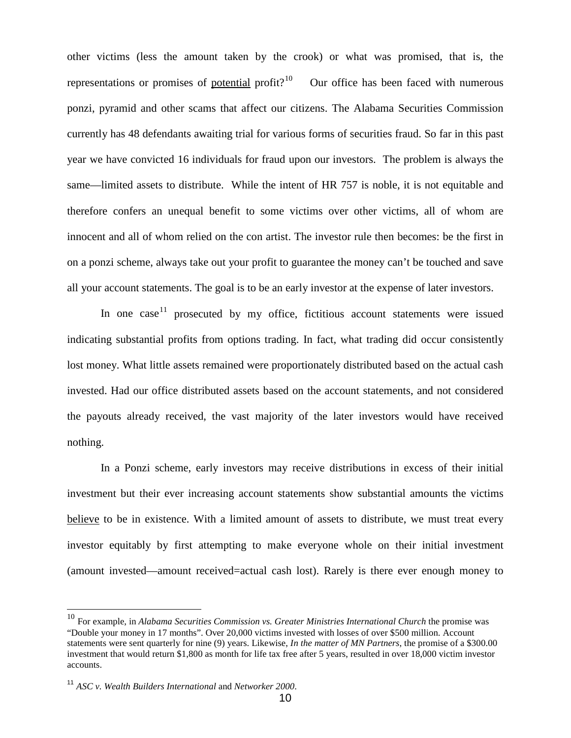other victims (less the amount taken by the crook) or what was promised, that is, the representations or promises of potential profit?<sup>10</sup> Our office has been faced with numerous ponzi, pyramid and other scams that affect our citizens. The Alabama Securities Commission currently has 48 defendants awaiting trial for various forms of securities fraud. So far in this past year we have convicted 16 individuals for fraud upon our investors. The problem is always the same—limited assets to distribute. While the intent of HR 757 is noble, it is not equitable and therefore confers an unequal benefit to some victims over other victims, all of whom are innocent and all of whom relied on the con artist. The investor rule then becomes: be the first in on a ponzi scheme, always take out your profit to guarantee the money can't be touched and save all your account statements. The goal is to be an early investor at the expense of later investors.

In one case  $11$  prosecuted by my office, fictitious account statements were issued indicating substantial profits from options trading. In fact, what trading did occur consistently lost money. What little assets remained were proportionately distributed based on the actual cash invested. Had our office distributed assets based on the account statements, and not considered the payouts already received, the vast majority of the later investors would have received nothing.

In a Ponzi scheme, early investors may receive distributions in excess of their initial investment but their ever increasing account statements show substantial amounts the victims believe to be in existence. With a limited amount of assets to distribute, we must treat every investor equitably by first attempting to make everyone whole on their initial investment (amount invested—amount received=actual cash lost). Rarely is there ever enough money to

<span id="page-9-0"></span><sup>&</sup>lt;sup>10</sup> For example, in *Alabama Securities Commission vs. Greater Ministries International Church* the promise was "Double your money in 17 months". Over 20,000 victims invested with losses of over \$500 million. Account statements were sent quarterly for nine (9) years. Likewise, *In the matter of MN Partners*, the promise of a \$300.00 investment that would return \$1,800 as month for life tax free after 5 years, resulted in over 18,000 victim investor accounts.

<span id="page-9-1"></span><sup>11</sup> *ASC v. Wealth Builders International* and *Networker 2000*.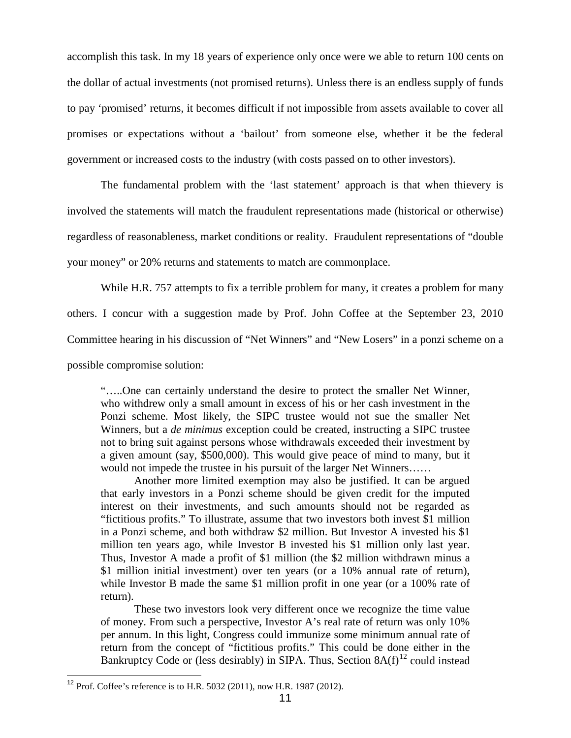accomplish this task. In my 18 years of experience only once were we able to return 100 cents on the dollar of actual investments (not promised returns). Unless there is an endless supply of funds to pay 'promised' returns, it becomes difficult if not impossible from assets available to cover all promises or expectations without a 'bailout' from someone else, whether it be the federal government or increased costs to the industry (with costs passed on to other investors).

The fundamental problem with the 'last statement' approach is that when thievery is involved the statements will match the fraudulent representations made (historical or otherwise) regardless of reasonableness, market conditions or reality. Fraudulent representations of "double your money" or 20% returns and statements to match are commonplace.

While H.R. 757 attempts to fix a terrible problem for many, it creates a problem for many others. I concur with a suggestion made by Prof. John Coffee at the September 23, 2010 Committee hearing in his discussion of "Net Winners" and "New Losers" in a ponzi scheme on a possible compromise solution:

"…..One can certainly understand the desire to protect the smaller Net Winner, who withdrew only a small amount in excess of his or her cash investment in the Ponzi scheme. Most likely, the SIPC trustee would not sue the smaller Net Winners, but a *de minimus* exception could be created, instructing a SIPC trustee not to bring suit against persons whose withdrawals exceeded their investment by a given amount (say, \$500,000). This would give peace of mind to many, but it would not impede the trustee in his pursuit of the larger Net Winners……

Another more limited exemption may also be justified. It can be argued that early investors in a Ponzi scheme should be given credit for the imputed interest on their investments, and such amounts should not be regarded as "fictitious profits." To illustrate, assume that two investors both invest \$1 million in a Ponzi scheme, and both withdraw \$2 million. But Investor A invested his \$1 million ten years ago, while Investor B invested his \$1 million only last year. Thus, Investor A made a profit of \$1 million (the \$2 million withdrawn minus a \$1 million initial investment) over ten years (or a 10% annual rate of return), while Investor B made the same \$1 million profit in one year (or a 100% rate of return).

These two investors look very different once we recognize the time value of money. From such a perspective, Investor A's real rate of return was only 10% per annum. In this light, Congress could immunize some minimum annual rate of return from the concept of "fictitious profits." This could be done either in the Bankruptcy Code or (less desirably) in SIPA. Thus, Section  $8A(f)^{12}$  $8A(f)^{12}$  $8A(f)^{12}$  could instead

<span id="page-10-0"></span><sup>&</sup>lt;sup>12</sup> Prof. Coffee's reference is to H.R. 5032 (2011), now H.R. 1987 (2012).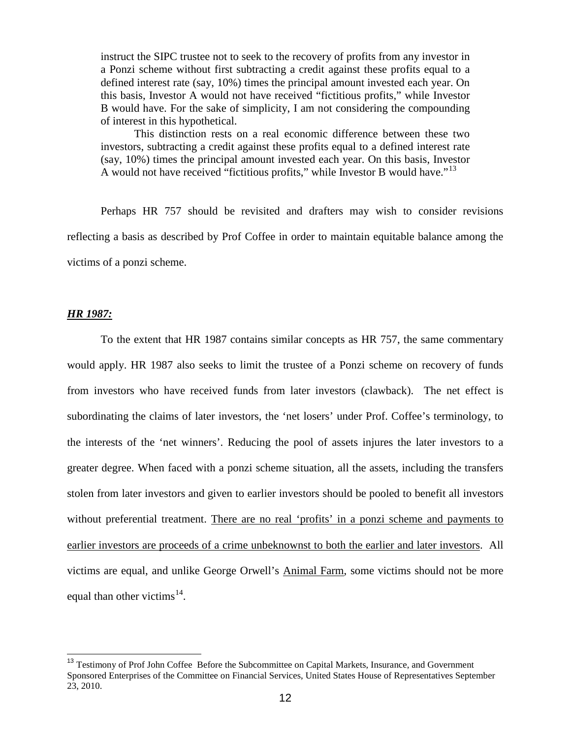instruct the SIPC trustee not to seek to the recovery of profits from any investor in a Ponzi scheme without first subtracting a credit against these profits equal to a defined interest rate (say, 10%) times the principal amount invested each year. On this basis, Investor A would not have received "fictitious profits," while Investor B would have. For the sake of simplicity, I am not considering the compounding of interest in this hypothetical.

This distinction rests on a real economic difference between these two investors, subtracting a credit against these profits equal to a defined interest rate (say, 10%) times the principal amount invested each year. On this basis, Investor A would not have received "fictitious profits," while Investor B would have."[13](#page-11-0)

Perhaps HR 757 should be revisited and drafters may wish to consider revisions reflecting a basis as described by Prof Coffee in order to maintain equitable balance among the victims of a ponzi scheme.

#### *HR 1987:*

To the extent that HR 1987 contains similar concepts as HR 757, the same commentary would apply. HR 1987 also seeks to limit the trustee of a Ponzi scheme on recovery of funds from investors who have received funds from later investors (clawback). The net effect is subordinating the claims of later investors, the 'net losers' under Prof. Coffee's terminology, to the interests of the 'net winners'. Reducing the pool of assets injures the later investors to a greater degree. When faced with a ponzi scheme situation, all the assets, including the transfers stolen from later investors and given to earlier investors should be pooled to benefit all investors without preferential treatment. There are no real 'profits' in a ponzi scheme and payments to earlier investors are proceeds of a crime unbeknownst to both the earlier and later investors. All victims are equal, and unlike George Orwell's Animal Farm, some victims should not be more equal than other victims $^{14}$  $^{14}$  $^{14}$ .

<span id="page-11-1"></span><span id="page-11-0"></span><sup>&</sup>lt;sup>13</sup> Testimony of Prof John Coffee Before the Subcommittee on Capital Markets, Insurance, and Government Sponsored Enterprises of the Committee on Financial Services, United States House of Representatives September 23, 2010.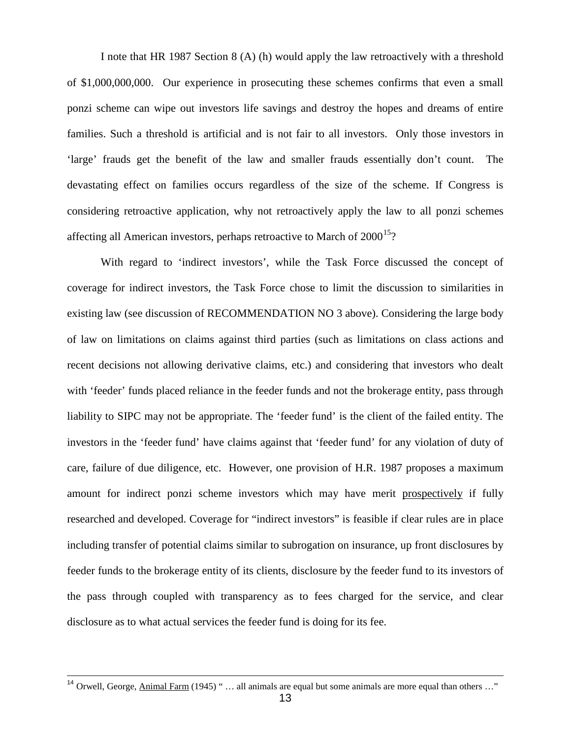I note that HR 1987 Section 8 (A) (h) would apply the law retroactively with a threshold of \$1,000,000,000. Our experience in prosecuting these schemes confirms that even a small ponzi scheme can wipe out investors life savings and destroy the hopes and dreams of entire families. Such a threshold is artificial and is not fair to all investors. Only those investors in 'large' frauds get the benefit of the law and smaller frauds essentially don't count. The devastating effect on families occurs regardless of the size of the scheme. If Congress is considering retroactive application, why not retroactively apply the law to all ponzi schemes affecting all American investors, perhaps retroactive to March of  $2000^{15}$  $2000^{15}$  $2000^{15}$ ?

With regard to 'indirect investors', while the Task Force discussed the concept of coverage for indirect investors, the Task Force chose to limit the discussion to similarities in existing law (see discussion of RECOMMENDATION NO 3 above). Considering the large body of law on limitations on claims against third parties (such as limitations on class actions and recent decisions not allowing derivative claims, etc.) and considering that investors who dealt with 'feeder' funds placed reliance in the feeder funds and not the brokerage entity, pass through liability to SIPC may not be appropriate. The 'feeder fund' is the client of the failed entity. The investors in the 'feeder fund' have claims against that 'feeder fund' for any violation of duty of care, failure of due diligence, etc. However, one provision of H.R. 1987 proposes a maximum amount for indirect ponzi scheme investors which may have merit prospectively if fully researched and developed. Coverage for "indirect investors" is feasible if clear rules are in place including transfer of potential claims similar to subrogation on insurance, up front disclosures by feeder funds to the brokerage entity of its clients, disclosure by the feeder fund to its investors of the pass through coupled with transparency as to fees charged for the service, and clear disclosure as to what actual services the feeder fund is doing for its fee.

<span id="page-12-0"></span><sup>&</sup>lt;sup>14</sup> Orwell, George, Animal Farm (1945) " ... all animals are equal but some animals are more equal than others ..."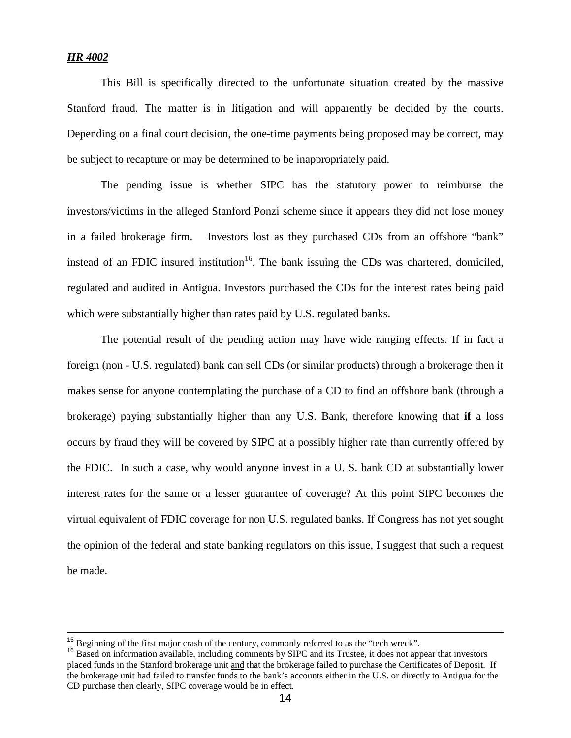#### *HR 4002*

This Bill is specifically directed to the unfortunate situation created by the massive Stanford fraud. The matter is in litigation and will apparently be decided by the courts. Depending on a final court decision, the one-time payments being proposed may be correct, may be subject to recapture or may be determined to be inappropriately paid.

The pending issue is whether SIPC has the statutory power to reimburse the investors/victims in the alleged Stanford Ponzi scheme since it appears they did not lose money in a failed brokerage firm. Investors lost as they purchased CDs from an offshore "bank" instead of an FDIC insured institution<sup>16</sup>. The bank issuing the CDs was chartered, domiciled, regulated and audited in Antigua. Investors purchased the CDs for the interest rates being paid which were substantially higher than rates paid by U.S. regulated banks.

The potential result of the pending action may have wide ranging effects. If in fact a foreign (non - U.S. regulated) bank can sell CDs (or similar products) through a brokerage then it makes sense for anyone contemplating the purchase of a CD to find an offshore bank (through a brokerage) paying substantially higher than any U.S. Bank, therefore knowing that **if** a loss occurs by fraud they will be covered by SIPC at a possibly higher rate than currently offered by the FDIC. In such a case, why would anyone invest in a U. S. bank CD at substantially lower interest rates for the same or a lesser guarantee of coverage? At this point SIPC becomes the virtual equivalent of FDIC coverage for non U.S. regulated banks. If Congress has not yet sought the opinion of the federal and state banking regulators on this issue, I suggest that such a request be made.

<span id="page-13-0"></span><sup>&</sup>lt;sup>15</sup> Beginning of the first major crash of the century, commonly referred to as the "tech wreck".<br><sup>16</sup> Based on information available, including comments by SIPC and its Trustee, it does not appear that investors placed funds in the Stanford brokerage unit and that the brokerage failed to purchase the Certificates of Deposit. If the brokerage unit had failed to transfer funds to the bank's accounts either in the U.S. or directly to Antigua for the CD purchase then clearly, SIPC coverage would be in effect.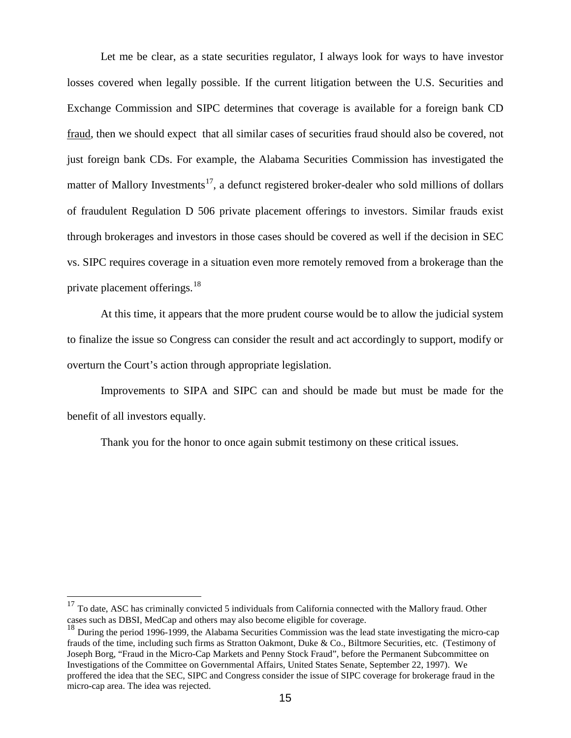Let me be clear, as a state securities regulator, I always look for ways to have investor losses covered when legally possible. If the current litigation between the U.S. Securities and Exchange Commission and SIPC determines that coverage is available for a foreign bank CD fraud, then we should expect that all similar cases of securities fraud should also be covered, not just foreign bank CDs. For example, the Alabama Securities Commission has investigated the matter of Mallory Investments<sup>17</sup>, a defunct registered broker-dealer who sold millions of dollars of fraudulent Regulation D 506 private placement offerings to investors. Similar frauds exist through brokerages and investors in those cases should be covered as well if the decision in SEC vs. SIPC requires coverage in a situation even more remotely removed from a brokerage than the private placement offerings.<sup>[18](#page-14-1)</sup>

At this time, it appears that the more prudent course would be to allow the judicial system to finalize the issue so Congress can consider the result and act accordingly to support, modify or overturn the Court's action through appropriate legislation.

Improvements to SIPA and SIPC can and should be made but must be made for the benefit of all investors equally.

Thank you for the honor to once again submit testimony on these critical issues.

<span id="page-14-0"></span><sup>&</sup>lt;sup>17</sup> To date, ASC has criminally convicted 5 individuals from California connected with the Mallory fraud. Other cases such as DBSI, MedCap and others may also become eligible for coverage.

<span id="page-14-1"></span> $18$  During the period 1996-1999, the Alabama Securities Commission was the lead state investigating the micro-cap frauds of the time, including such firms as Stratton Oakmont, Duke & Co., Biltmore Securities, etc. (Testimony of Joseph Borg, "Fraud in the Micro-Cap Markets and Penny Stock Fraud", before the Permanent Subcommittee on Investigations of the Committee on Governmental Affairs, United States Senate, September 22, 1997). We proffered the idea that the SEC, SIPC and Congress consider the issue of SIPC coverage for brokerage fraud in the micro-cap area. The idea was rejected.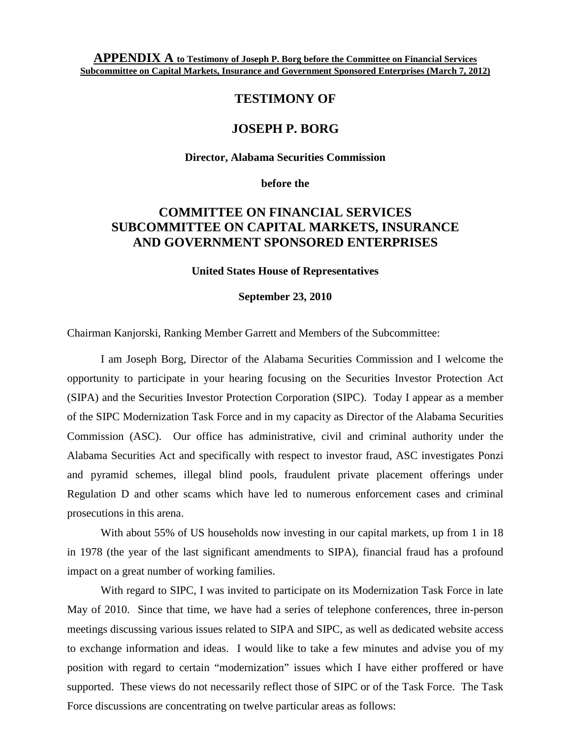**APPENDIX A to Testimony of Joseph P. Borg before the Committee on Financial Services Subcommittee on Capital Markets, Insurance and Government Sponsored Enterprises (March 7, 2012)**

# **TESTIMONY OF**

## **JOSEPH P. BORG**

**Director, Alabama Securities Commission**

**before the**

# **COMMITTEE ON FINANCIAL SERVICES SUBCOMMITTEE ON CAPITAL MARKETS, INSURANCE AND GOVERNMENT SPONSORED ENTERPRISES**

**United States House of Representatives**

#### **September 23, 2010**

Chairman Kanjorski, Ranking Member Garrett and Members of the Subcommittee:

I am Joseph Borg, Director of the Alabama Securities Commission and I welcome the opportunity to participate in your hearing focusing on the Securities Investor Protection Act (SIPA) and the Securities Investor Protection Corporation (SIPC). Today I appear as a member of the SIPC Modernization Task Force and in my capacity as Director of the Alabama Securities Commission (ASC). Our office has administrative, civil and criminal authority under the Alabama Securities Act and specifically with respect to investor fraud, ASC investigates Ponzi and pyramid schemes, illegal blind pools, fraudulent private placement offerings under Regulation D and other scams which have led to numerous enforcement cases and criminal prosecutions in this arena.

With about 55% of US households now investing in our capital markets, up from 1 in 18 in 1978 (the year of the last significant amendments to SIPA), financial fraud has a profound impact on a great number of working families.

With regard to SIPC, I was invited to participate on its Modernization Task Force in late May of 2010. Since that time, we have had a series of telephone conferences, three in-person meetings discussing various issues related to SIPA and SIPC, as well as dedicated website access to exchange information and ideas. I would like to take a few minutes and advise you of my position with regard to certain "modernization" issues which I have either proffered or have supported. These views do not necessarily reflect those of SIPC or of the Task Force. The Task Force discussions are concentrating on twelve particular areas as follows: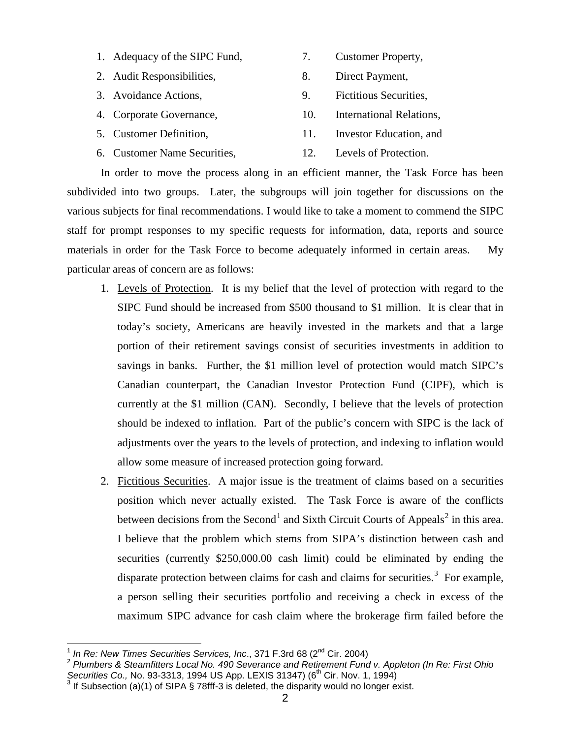- 1. Adequacy of the SIPC Fund, 2. Customer Property,
- 2. Audit Responsibilities, 8. Direct Payment,
- 3. Avoidance Actions, 9. Fictitious Securities,
- 4. Corporate Governance, 10. International Relations,
- 5. Customer Definition, 11. Investor Education, and
- 6. Customer Name Securities, 12. Levels of Protection.

In order to move the process along in an efficient manner, the Task Force has been subdivided into two groups. Later, the subgroups will join together for discussions on the various subjects for final recommendations. I would like to take a moment to commend the SIPC staff for prompt responses to my specific requests for information, data, reports and source materials in order for the Task Force to become adequately informed in certain areas. My particular areas of concern are as follows:

- 1. Levels of Protection. It is my belief that the level of protection with regard to the SIPC Fund should be increased from \$500 thousand to \$1 million. It is clear that in today's society, Americans are heavily invested in the markets and that a large portion of their retirement savings consist of securities investments in addition to savings in banks. Further, the \$1 million level of protection would match SIPC's Canadian counterpart, the Canadian Investor Protection Fund (CIPF), which is currently at the \$1 million (CAN). Secondly, I believe that the levels of protection should be indexed to inflation. Part of the public's concern with SIPC is the lack of adjustments over the years to the levels of protection, and indexing to inflation would allow some measure of increased protection going forward.
- 2. Fictitious Securities. A major issue is the treatment of claims based on a securities position which never actually existed. The Task Force is aware of the conflicts between decisions from the Second<sup>[1](#page-16-0)</sup> and Sixth Circuit Courts of Appeals<sup>[2](#page-16-1)</sup> in this area. I believe that the problem which stems from SIPA's distinction between cash and securities (currently \$250,000.00 cash limit) could be eliminated by ending the disparate protection between claims for cash and claims for securities.<sup>[3](#page-16-2)</sup> For example, a person selling their securities portfolio and receiving a check in excess of the maximum SIPC advance for cash claim where the brokerage firm failed before the

<span id="page-16-1"></span><span id="page-16-0"></span><sup>&</sup>lt;sup>1</sup> In Re: New Times Securities Services, Inc., 371 F.3rd 68 (2<sup>nd</sup> Cir. 2004)<br><sup>2</sup> Plumbers & Steamfitters Local No. 490 Severance and Retirement Fund v. Appleton (In Re: First Ohio *Securities Co., No. 93-3313, 1994 US Ap* 

<span id="page-16-2"></span><sup>&</sup>lt;sup>3</sup> If Subsection (a)(1) of SIPA § 78fff-3 is deleted, the disparity would no longer exist.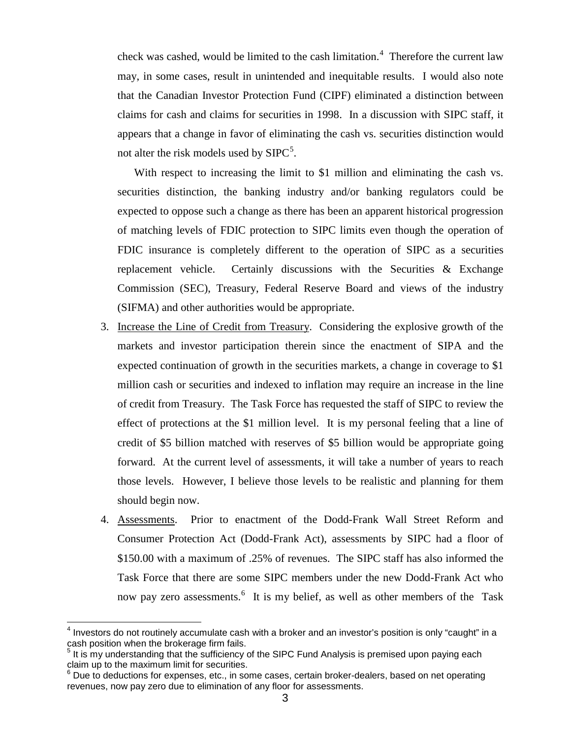check was cashed, would be limited to the cash limitation.<sup>[4](#page-17-0)</sup> Therefore the current law may, in some cases, result in unintended and inequitable results. I would also note that the Canadian Investor Protection Fund (CIPF) eliminated a distinction between claims for cash and claims for securities in 1998. In a discussion with SIPC staff, it appears that a change in favor of eliminating the cash vs. securities distinction would not alter the risk models used by  $SIPC^5$  $SIPC^5$ .

With respect to increasing the limit to \$1 million and eliminating the cash vs. securities distinction, the banking industry and/or banking regulators could be expected to oppose such a change as there has been an apparent historical progression of matching levels of FDIC protection to SIPC limits even though the operation of FDIC insurance is completely different to the operation of SIPC as a securities replacement vehicle. Certainly discussions with the Securities & Exchange Commission (SEC), Treasury, Federal Reserve Board and views of the industry (SIFMA) and other authorities would be appropriate.

- 3. Increase the Line of Credit from Treasury. Considering the explosive growth of the markets and investor participation therein since the enactment of SIPA and the expected continuation of growth in the securities markets, a change in coverage to \$1 million cash or securities and indexed to inflation may require an increase in the line of credit from Treasury. The Task Force has requested the staff of SIPC to review the effect of protections at the \$1 million level. It is my personal feeling that a line of credit of \$5 billion matched with reserves of \$5 billion would be appropriate going forward. At the current level of assessments, it will take a number of years to reach those levels. However, I believe those levels to be realistic and planning for them should begin now.
- 4. Assessments. Prior to enactment of the Dodd-Frank Wall Street Reform and Consumer Protection Act (Dodd-Frank Act), assessments by SIPC had a floor of \$150.00 with a maximum of .25% of revenues. The SIPC staff has also informed the Task Force that there are some SIPC members under the new Dodd-Frank Act who now pay zero assessments.<sup>[6](#page-17-2)</sup> It is my belief, as well as other members of the Task

<span id="page-17-0"></span> $<sup>4</sup>$  Investors do not routinely accumulate cash with a broker and an investor's position is only "caught" in a</sup> cash position when the brokerage firm fails.

<span id="page-17-1"></span> $5$  It is my understanding that the sufficiency of the SIPC Fund Analysis is premised upon paying each claim up to the maximum limit for securities.

<span id="page-17-2"></span> $^6$  Due to deductions for expenses, etc., in some cases, certain broker-dealers, based on net operating revenues, now pay zero due to elimination of any floor for assessments.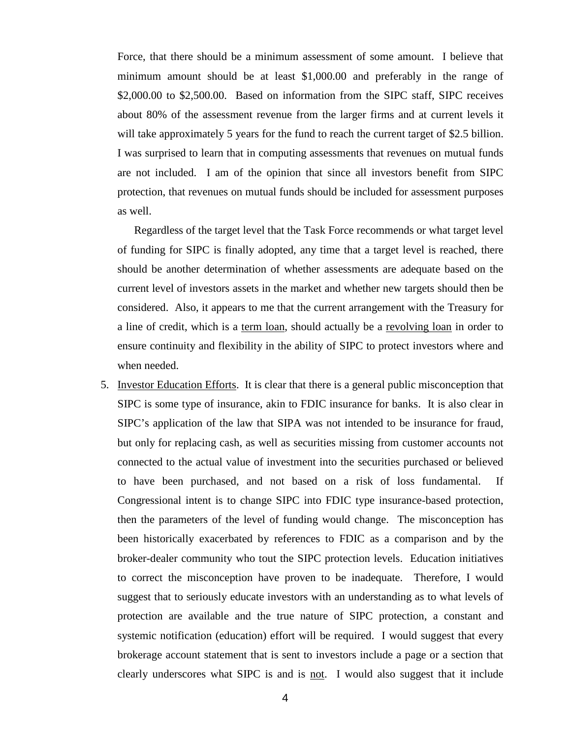Force, that there should be a minimum assessment of some amount. I believe that minimum amount should be at least \$1,000.00 and preferably in the range of \$2,000.00 to \$2,500.00. Based on information from the SIPC staff, SIPC receives about 80% of the assessment revenue from the larger firms and at current levels it will take approximately 5 years for the fund to reach the current target of \$2.5 billion. I was surprised to learn that in computing assessments that revenues on mutual funds are not included. I am of the opinion that since all investors benefit from SIPC protection, that revenues on mutual funds should be included for assessment purposes as well.

Regardless of the target level that the Task Force recommends or what target level of funding for SIPC is finally adopted, any time that a target level is reached, there should be another determination of whether assessments are adequate based on the current level of investors assets in the market and whether new targets should then be considered. Also, it appears to me that the current arrangement with the Treasury for a line of credit, which is a term loan, should actually be a revolving loan in order to ensure continuity and flexibility in the ability of SIPC to protect investors where and when needed.

5. Investor Education Efforts. It is clear that there is a general public misconception that SIPC is some type of insurance, akin to FDIC insurance for banks. It is also clear in SIPC's application of the law that SIPA was not intended to be insurance for fraud, but only for replacing cash, as well as securities missing from customer accounts not connected to the actual value of investment into the securities purchased or believed to have been purchased, and not based on a risk of loss fundamental. If Congressional intent is to change SIPC into FDIC type insurance-based protection, then the parameters of the level of funding would change. The misconception has been historically exacerbated by references to FDIC as a comparison and by the broker-dealer community who tout the SIPC protection levels. Education initiatives to correct the misconception have proven to be inadequate. Therefore, I would suggest that to seriously educate investors with an understanding as to what levels of protection are available and the true nature of SIPC protection, a constant and systemic notification (education) effort will be required. I would suggest that every brokerage account statement that is sent to investors include a page or a section that clearly underscores what SIPC is and is not. I would also suggest that it include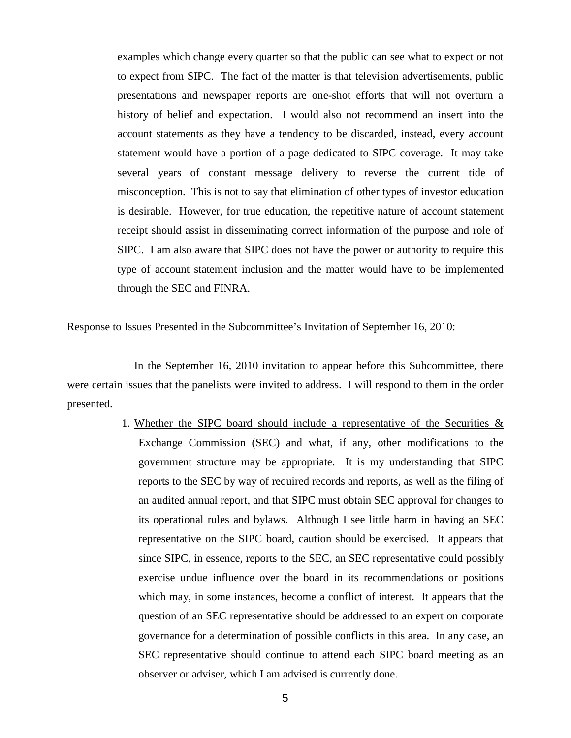examples which change every quarter so that the public can see what to expect or not to expect from SIPC. The fact of the matter is that television advertisements, public presentations and newspaper reports are one-shot efforts that will not overturn a history of belief and expectation. I would also not recommend an insert into the account statements as they have a tendency to be discarded, instead, every account statement would have a portion of a page dedicated to SIPC coverage. It may take several years of constant message delivery to reverse the current tide of misconception. This is not to say that elimination of other types of investor education is desirable. However, for true education, the repetitive nature of account statement receipt should assist in disseminating correct information of the purpose and role of SIPC. I am also aware that SIPC does not have the power or authority to require this type of account statement inclusion and the matter would have to be implemented through the SEC and FINRA.

#### Response to Issues Presented in the Subcommittee's Invitation of September 16, 2010:

In the September 16, 2010 invitation to appear before this Subcommittee, there were certain issues that the panelists were invited to address. I will respond to them in the order presented.

> 1. Whether the SIPC board should include a representative of the Securities  $\&$ Exchange Commission (SEC) and what, if any, other modifications to the government structure may be appropriate. It is my understanding that SIPC reports to the SEC by way of required records and reports, as well as the filing of an audited annual report, and that SIPC must obtain SEC approval for changes to its operational rules and bylaws. Although I see little harm in having an SEC representative on the SIPC board, caution should be exercised. It appears that since SIPC, in essence, reports to the SEC, an SEC representative could possibly exercise undue influence over the board in its recommendations or positions which may, in some instances, become a conflict of interest. It appears that the question of an SEC representative should be addressed to an expert on corporate governance for a determination of possible conflicts in this area. In any case, an SEC representative should continue to attend each SIPC board meeting as an observer or adviser, which I am advised is currently done.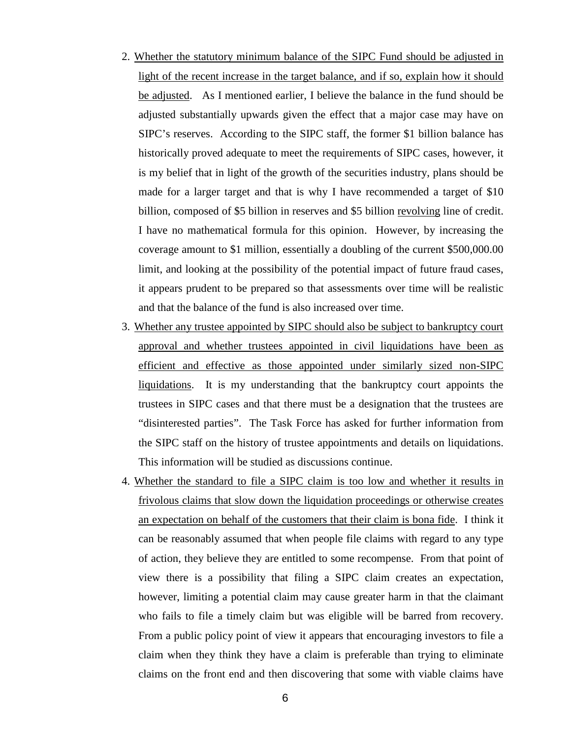- 2. Whether the statutory minimum balance of the SIPC Fund should be adjusted in light of the recent increase in the target balance, and if so, explain how it should be adjusted. As I mentioned earlier, I believe the balance in the fund should be adjusted substantially upwards given the effect that a major case may have on SIPC's reserves. According to the SIPC staff, the former \$1 billion balance has historically proved adequate to meet the requirements of SIPC cases, however, it is my belief that in light of the growth of the securities industry, plans should be made for a larger target and that is why I have recommended a target of \$10 billion, composed of \$5 billion in reserves and \$5 billion revolving line of credit. I have no mathematical formula for this opinion. However, by increasing the coverage amount to \$1 million, essentially a doubling of the current \$500,000.00 limit, and looking at the possibility of the potential impact of future fraud cases, it appears prudent to be prepared so that assessments over time will be realistic and that the balance of the fund is also increased over time.
- 3. Whether any trustee appointed by SIPC should also be subject to bankruptcy court approval and whether trustees appointed in civil liquidations have been as efficient and effective as those appointed under similarly sized non-SIPC liquidations. It is my understanding that the bankruptcy court appoints the trustees in SIPC cases and that there must be a designation that the trustees are "disinterested parties". The Task Force has asked for further information from the SIPC staff on the history of trustee appointments and details on liquidations. This information will be studied as discussions continue.
- 4. Whether the standard to file a SIPC claim is too low and whether it results in frivolous claims that slow down the liquidation proceedings or otherwise creates an expectation on behalf of the customers that their claim is bona fide. I think it can be reasonably assumed that when people file claims with regard to any type of action, they believe they are entitled to some recompense. From that point of view there is a possibility that filing a SIPC claim creates an expectation, however, limiting a potential claim may cause greater harm in that the claimant who fails to file a timely claim but was eligible will be barred from recovery. From a public policy point of view it appears that encouraging investors to file a claim when they think they have a claim is preferable than trying to eliminate claims on the front end and then discovering that some with viable claims have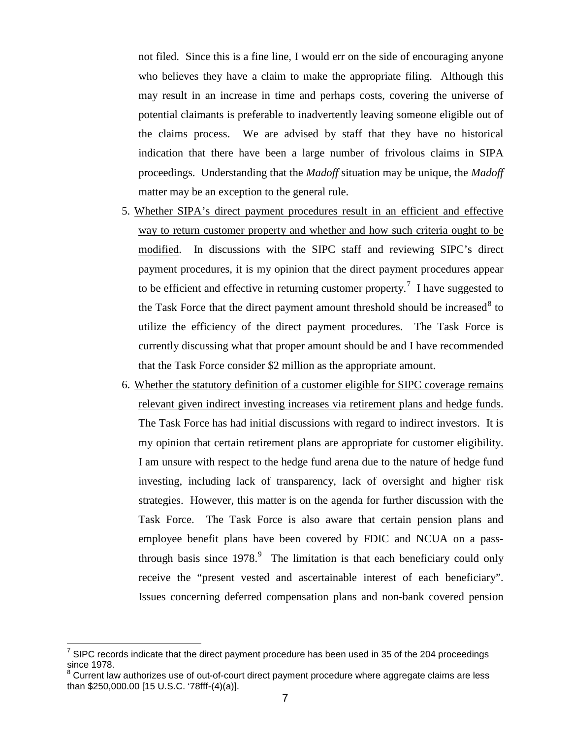not filed. Since this is a fine line, I would err on the side of encouraging anyone who believes they have a claim to make the appropriate filing. Although this may result in an increase in time and perhaps costs, covering the universe of potential claimants is preferable to inadvertently leaving someone eligible out of the claims process. We are advised by staff that they have no historical indication that there have been a large number of frivolous claims in SIPA proceedings. Understanding that the *Madoff* situation may be unique, the *Madoff* matter may be an exception to the general rule.

- 5. Whether SIPA's direct payment procedures result in an efficient and effective way to return customer property and whether and how such criteria ought to be modified. In discussions with the SIPC staff and reviewing SIPC's direct payment procedures, it is my opinion that the direct payment procedures appear to be efficient and effective in returning customer property.<sup>[7](#page-21-0)</sup> I have suggested to the Task Force that the direct payment amount threshold should be increased  $8$  to utilize the efficiency of the direct payment procedures. The Task Force is currently discussing what that proper amount should be and I have recommended that the Task Force consider \$2 million as the appropriate amount.
- 6. Whether the statutory definition of a customer eligible for SIPC coverage remains relevant given indirect investing increases via retirement plans and hedge funds. The Task Force has had initial discussions with regard to indirect investors. It is my opinion that certain retirement plans are appropriate for customer eligibility. I am unsure with respect to the hedge fund arena due to the nature of hedge fund investing, including lack of transparency, lack of oversight and higher risk strategies. However, this matter is on the agenda for further discussion with the Task Force. The Task Force is also aware that certain pension plans and employee benefit plans have been covered by FDIC and NCUA on a passthrough basis since  $1978$  $1978$  $1978$ .<sup>9</sup> The limitation is that each beneficiary could only receive the "present vested and ascertainable interest of each beneficiary". Issues concerning deferred compensation plans and non-bank covered pension

<span id="page-21-0"></span> $7$  SIPC records indicate that the direct payment procedure has been used in 35 of the 204 proceedings since  $1978$ .

<span id="page-21-1"></span>Current law authorizes use of out-of-court direct payment procedure where aggregate claims are less than \$250,000.00 [15 U.S.C. '78fff-(4)(a)].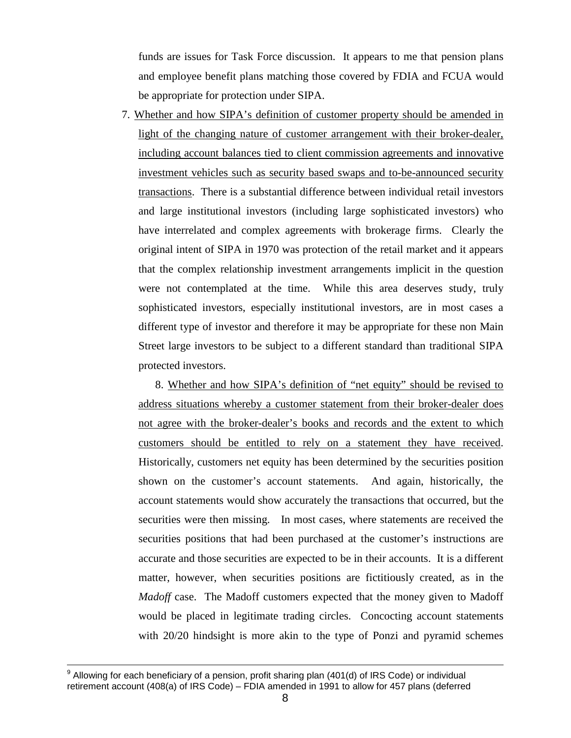funds are issues for Task Force discussion. It appears to me that pension plans and employee benefit plans matching those covered by FDIA and FCUA would be appropriate for protection under SIPA.

7. Whether and how SIPA's definition of customer property should be amended in light of the changing nature of customer arrangement with their broker-dealer, including account balances tied to client commission agreements and innovative investment vehicles such as security based swaps and to-be-announced security transactions. There is a substantial difference between individual retail investors and large institutional investors (including large sophisticated investors) who have interrelated and complex agreements with brokerage firms. Clearly the original intent of SIPA in 1970 was protection of the retail market and it appears that the complex relationship investment arrangements implicit in the question were not contemplated at the time. While this area deserves study, truly sophisticated investors, especially institutional investors, are in most cases a different type of investor and therefore it may be appropriate for these non Main Street large investors to be subject to a different standard than traditional SIPA protected investors.

8. Whether and how SIPA's definition of "net equity" should be revised to address situations whereby a customer statement from their broker-dealer does not agree with the broker-dealer's books and records and the extent to which customers should be entitled to rely on a statement they have received. Historically, customers net equity has been determined by the securities position shown on the customer's account statements. And again, historically, the account statements would show accurately the transactions that occurred, but the securities were then missing. In most cases, where statements are received the securities positions that had been purchased at the customer's instructions are accurate and those securities are expected to be in their accounts. It is a different matter, however, when securities positions are fictitiously created, as in the *Madoff* case. The Madoff customers expected that the money given to Madoff would be placed in legitimate trading circles. Concocting account statements with 20/20 hindsight is more akin to the type of Ponzi and pyramid schemes

 $9$  Allowing for each beneficiary of a pension, profit sharing plan (401(d) of IRS Code) or individual retirement account (408(a) of IRS Code) – FDIA amended in 1991 to allow for 457 plans (deferred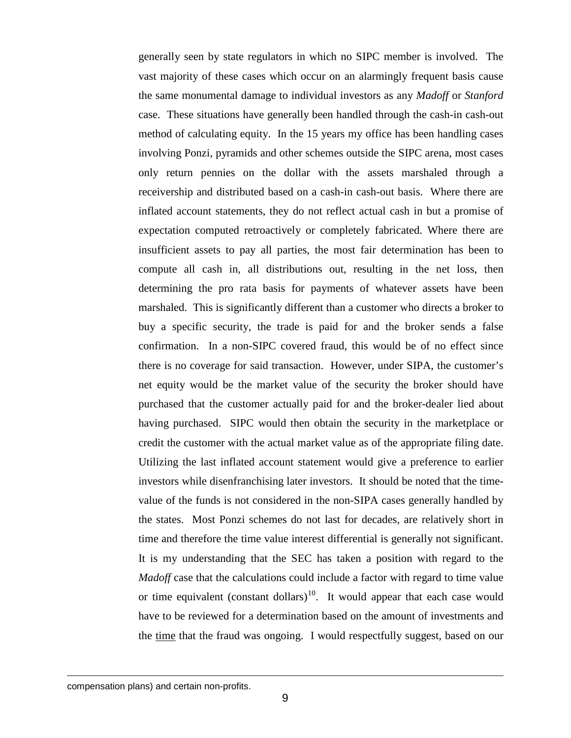generally seen by state regulators in which no SIPC member is involved. The vast majority of these cases which occur on an alarmingly frequent basis cause the same monumental damage to individual investors as any *Madoff* or *Stanford* case. These situations have generally been handled through the cash-in cash-out method of calculating equity. In the 15 years my office has been handling cases involving Ponzi, pyramids and other schemes outside the SIPC arena, most cases only return pennies on the dollar with the assets marshaled through a receivership and distributed based on a cash-in cash-out basis. Where there are inflated account statements, they do not reflect actual cash in but a promise of expectation computed retroactively or completely fabricated. Where there are insufficient assets to pay all parties, the most fair determination has been to compute all cash in, all distributions out, resulting in the net loss, then determining the pro rata basis for payments of whatever assets have been marshaled. This is significantly different than a customer who directs a broker to buy a specific security, the trade is paid for and the broker sends a false confirmation. In a non-SIPC covered fraud, this would be of no effect since there is no coverage for said transaction. However, under SIPA, the customer's net equity would be the market value of the security the broker should have purchased that the customer actually paid for and the broker-dealer lied about having purchased. SIPC would then obtain the security in the marketplace or credit the customer with the actual market value as of the appropriate filing date. Utilizing the last inflated account statement would give a preference to earlier investors while disenfranchising later investors. It should be noted that the timevalue of the funds is not considered in the non-SIPA cases generally handled by the states. Most Ponzi schemes do not last for decades, are relatively short in time and therefore the time value interest differential is generally not significant. It is my understanding that the SEC has taken a position with regard to the *Madoff* case that the calculations could include a factor with regard to time value or time equivalent (constant dollars)<sup>10</sup>. It would appear that each case would have to be reviewed for a determination based on the amount of investments and the time that the fraud was ongoing. I would respectfully suggest, based on our

<span id="page-23-0"></span>compensation plans) and certain non-profits.

 $\overline{a}$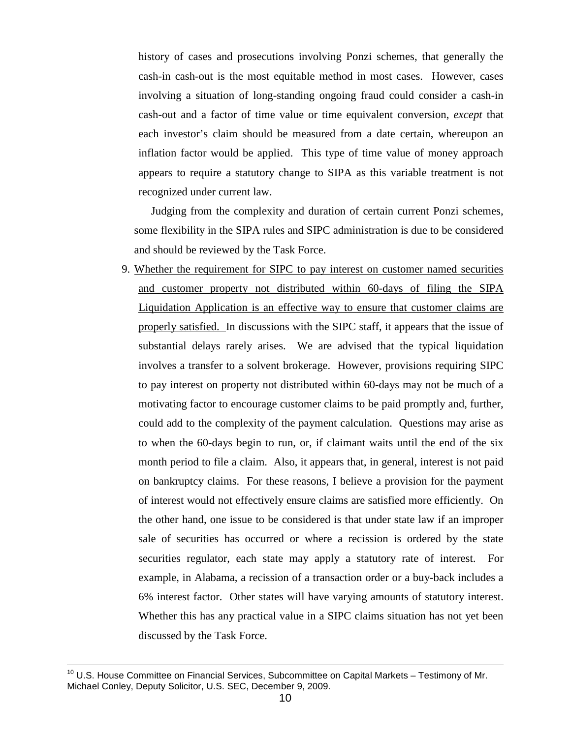history of cases and prosecutions involving Ponzi schemes, that generally the cash-in cash-out is the most equitable method in most cases. However, cases involving a situation of long-standing ongoing fraud could consider a cash-in cash-out and a factor of time value or time equivalent conversion, *except* that each investor's claim should be measured from a date certain, whereupon an inflation factor would be applied. This type of time value of money approach appears to require a statutory change to SIPA as this variable treatment is not recognized under current law.

Judging from the complexity and duration of certain current Ponzi schemes, some flexibility in the SIPA rules and SIPC administration is due to be considered and should be reviewed by the Task Force.

9. Whether the requirement for SIPC to pay interest on customer named securities and customer property not distributed within 60-days of filing the SIPA Liquidation Application is an effective way to ensure that customer claims are properly satisfied. In discussions with the SIPC staff, it appears that the issue of substantial delays rarely arises. We are advised that the typical liquidation involves a transfer to a solvent brokerage. However, provisions requiring SIPC to pay interest on property not distributed within 60-days may not be much of a motivating factor to encourage customer claims to be paid promptly and, further, could add to the complexity of the payment calculation. Questions may arise as to when the 60-days begin to run, or, if claimant waits until the end of the six month period to file a claim. Also, it appears that, in general, interest is not paid on bankruptcy claims. For these reasons, I believe a provision for the payment of interest would not effectively ensure claims are satisfied more efficiently. On the other hand, one issue to be considered is that under state law if an improper sale of securities has occurred or where a recission is ordered by the state securities regulator, each state may apply a statutory rate of interest. For example, in Alabama, a recission of a transaction order or a buy-back includes a 6% interest factor. Other states will have varying amounts of statutory interest. Whether this has any practical value in a SIPC claims situation has not yet been discussed by the Task Force.

<sup>&</sup>lt;sup>10</sup> U.S. House Committee on Financial Services, Subcommittee on Capital Markets – Testimony of Mr. Michael Conley, Deputy Solicitor, U.S. SEC, December 9, 2009.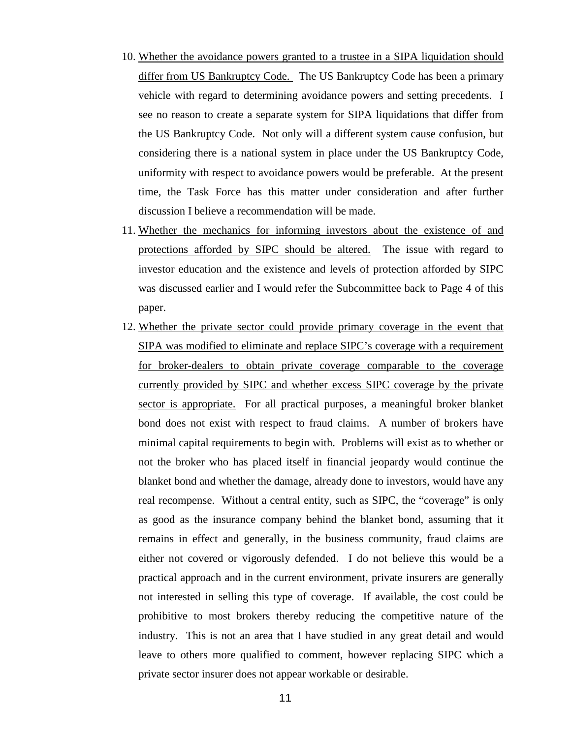- 10. Whether the avoidance powers granted to a trustee in a SIPA liquidation should differ from US Bankruptcy Code. The US Bankruptcy Code has been a primary vehicle with regard to determining avoidance powers and setting precedents. I see no reason to create a separate system for SIPA liquidations that differ from the US Bankruptcy Code. Not only will a different system cause confusion, but considering there is a national system in place under the US Bankruptcy Code, uniformity with respect to avoidance powers would be preferable. At the present time, the Task Force has this matter under consideration and after further discussion I believe a recommendation will be made.
- 11. Whether the mechanics for informing investors about the existence of and protections afforded by SIPC should be altered. The issue with regard to investor education and the existence and levels of protection afforded by SIPC was discussed earlier and I would refer the Subcommittee back to Page 4 of this paper.
- 12. Whether the private sector could provide primary coverage in the event that SIPA was modified to eliminate and replace SIPC's coverage with a requirement for broker-dealers to obtain private coverage comparable to the coverage currently provided by SIPC and whether excess SIPC coverage by the private sector is appropriate. For all practical purposes, a meaningful broker blanket bond does not exist with respect to fraud claims. A number of brokers have minimal capital requirements to begin with. Problems will exist as to whether or not the broker who has placed itself in financial jeopardy would continue the blanket bond and whether the damage, already done to investors, would have any real recompense. Without a central entity, such as SIPC, the "coverage" is only as good as the insurance company behind the blanket bond, assuming that it remains in effect and generally, in the business community, fraud claims are either not covered or vigorously defended. I do not believe this would be a practical approach and in the current environment, private insurers are generally not interested in selling this type of coverage. If available, the cost could be prohibitive to most brokers thereby reducing the competitive nature of the industry. This is not an area that I have studied in any great detail and would leave to others more qualified to comment, however replacing SIPC which a private sector insurer does not appear workable or desirable.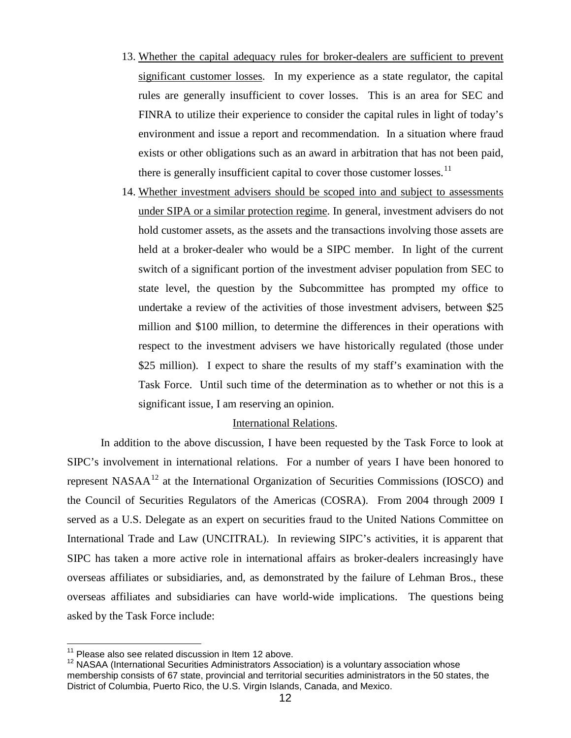- 13. Whether the capital adequacy rules for broker-dealers are sufficient to prevent significant customer losses. In my experience as a state regulator, the capital rules are generally insufficient to cover losses. This is an area for SEC and FINRA to utilize their experience to consider the capital rules in light of today's environment and issue a report and recommendation. In a situation where fraud exists or other obligations such as an award in arbitration that has not been paid, there is generally insufficient capital to cover those customer losses.<sup>[11](#page-26-0)</sup>
- 14. Whether investment advisers should be scoped into and subject to assessments under SIPA or a similar protection regime. In general, investment advisers do not hold customer assets, as the assets and the transactions involving those assets are held at a broker-dealer who would be a SIPC member. In light of the current switch of a significant portion of the investment adviser population from SEC to state level, the question by the Subcommittee has prompted my office to undertake a review of the activities of those investment advisers, between \$25 million and \$100 million, to determine the differences in their operations with respect to the investment advisers we have historically regulated (those under \$25 million). I expect to share the results of my staff's examination with the Task Force. Until such time of the determination as to whether or not this is a significant issue, I am reserving an opinion.

# International Relations.

In addition to the above discussion, I have been requested by the Task Force to look at SIPC's involvement in international relations. For a number of years I have been honored to represent NASAA<sup>[12](#page-26-1)</sup> at the International Organization of Securities Commissions (IOSCO) and the Council of Securities Regulators of the Americas (COSRA). From 2004 through 2009 I served as a U.S. Delegate as an expert on securities fraud to the United Nations Committee on International Trade and Law (UNCITRAL). In reviewing SIPC's activities, it is apparent that SIPC has taken a more active role in international affairs as broker-dealers increasingly have overseas affiliates or subsidiaries, and, as demonstrated by the failure of Lehman Bros., these overseas affiliates and subsidiaries can have world-wide implications. The questions being asked by the Task Force include:

<span id="page-26-0"></span> $11$  Please also see related discussion in Item 12 above.

<span id="page-26-1"></span><sup>12</sup> NASAA (International Securities Administrators Association) is a voluntary association whose membership consists of 67 state, provincial and territorial securities administrators in the 50 states, the District of Columbia, Puerto Rico, the U.S. Virgin Islands, Canada, and Mexico.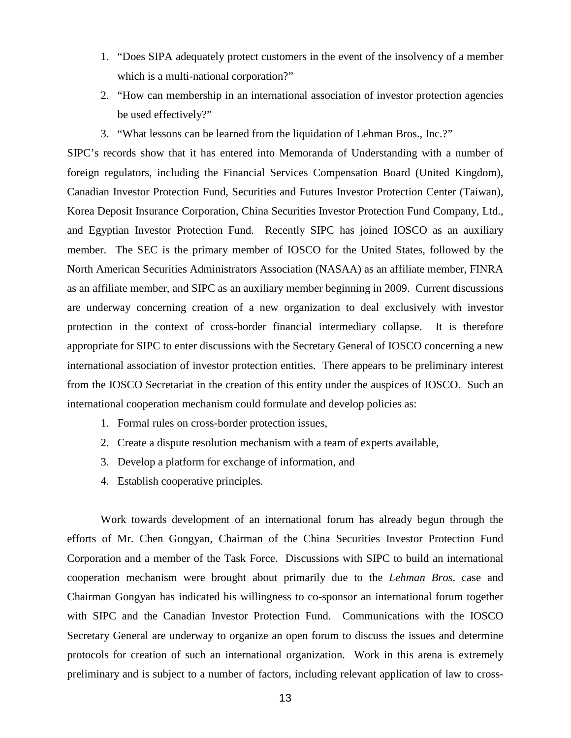- 1. "Does SIPA adequately protect customers in the event of the insolvency of a member which is a multi-national corporation?"
- 2. "How can membership in an international association of investor protection agencies be used effectively?"
- 3. "What lessons can be learned from the liquidation of Lehman Bros., Inc.?"

SIPC's records show that it has entered into Memoranda of Understanding with a number of foreign regulators, including the Financial Services Compensation Board (United Kingdom), Canadian Investor Protection Fund, Securities and Futures Investor Protection Center (Taiwan), Korea Deposit Insurance Corporation, China Securities Investor Protection Fund Company, Ltd., and Egyptian Investor Protection Fund. Recently SIPC has joined IOSCO as an auxiliary member. The SEC is the primary member of IOSCO for the United States, followed by the North American Securities Administrators Association (NASAA) as an affiliate member, FINRA as an affiliate member, and SIPC as an auxiliary member beginning in 2009. Current discussions are underway concerning creation of a new organization to deal exclusively with investor protection in the context of cross-border financial intermediary collapse. It is therefore appropriate for SIPC to enter discussions with the Secretary General of IOSCO concerning a new international association of investor protection entities. There appears to be preliminary interest from the IOSCO Secretariat in the creation of this entity under the auspices of IOSCO. Such an international cooperation mechanism could formulate and develop policies as:

- 1. Formal rules on cross-border protection issues,
- 2. Create a dispute resolution mechanism with a team of experts available,
- 3. Develop a platform for exchange of information, and
- 4. Establish cooperative principles.

Work towards development of an international forum has already begun through the efforts of Mr. Chen Gongyan, Chairman of the China Securities Investor Protection Fund Corporation and a member of the Task Force. Discussions with SIPC to build an international cooperation mechanism were brought about primarily due to the *Lehman Bros*. case and Chairman Gongyan has indicated his willingness to co-sponsor an international forum together with SIPC and the Canadian Investor Protection Fund. Communications with the IOSCO Secretary General are underway to organize an open forum to discuss the issues and determine protocols for creation of such an international organization. Work in this arena is extremely preliminary and is subject to a number of factors, including relevant application of law to cross